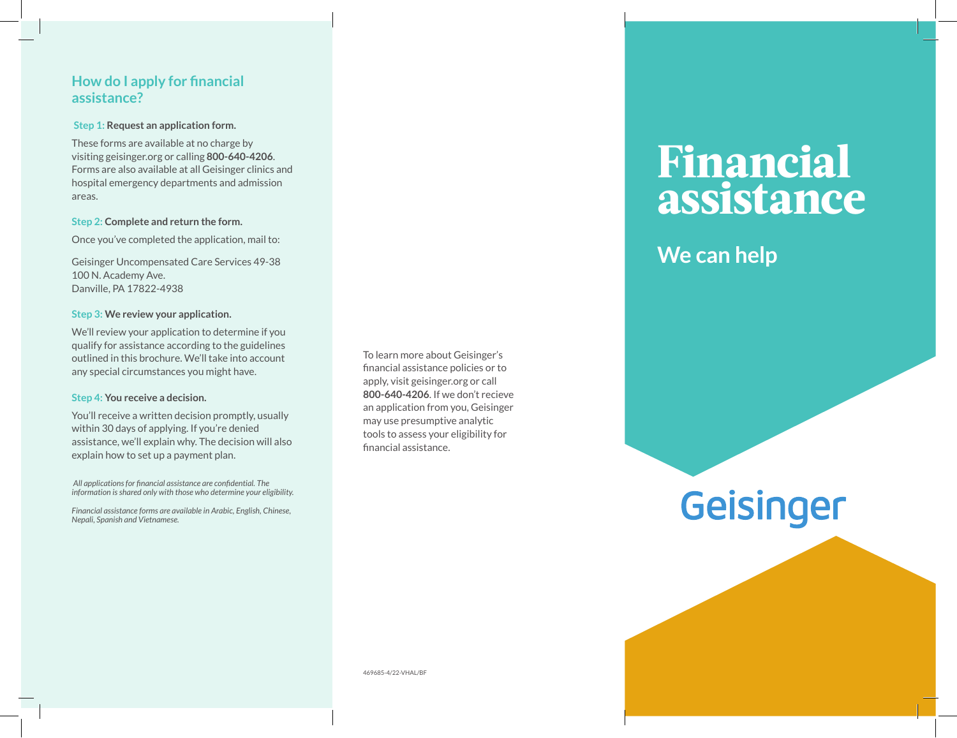## **How do I apply for financial assistance?**

### **Step 1: Request an application form.**

These forms are available at no charge by visiting geisinger.org or calling **800-640-4206**. Forms are also available at all Geisinger clinics and hospital emergency departments and admission areas.

#### **Step 2: Complete and return the form.**

Once you've completed the application, mail to:

Geisinger Uncompensated Care Services 49-38 100 N. Academy Ave. Danville, PA 17822-4938

### **Step 3: We review your application.**

We'll review your application to determine if you qualify for assistance according to the guidelines outlined in this brochure. We'll take into account any special circumstances you might have.

#### **Step 4: You receive a decision.**

You'll receive a written decision promptly, usually within 30 days of applying. If you're denied assistance, we'll explain why. The decision will also explain how to set up a payment plan.

 *All applications for financial assistance are confidential. The information is shared only with those who determine your eligibility.*

*Financial assistance forms are available in Arabic, English, Chinese, Nepali, Spanish and Vietnamese.*

To learn more about Geisinger's financial assistance policies or to apply, visit geisinger.org or call **800-640-4206**. If we don't recieve an application from you, Geisinger may use presumptive analytic tools to assess your eligibility for financial assistance.

## **Financial assistance**

## **We can help**

# Geisinger